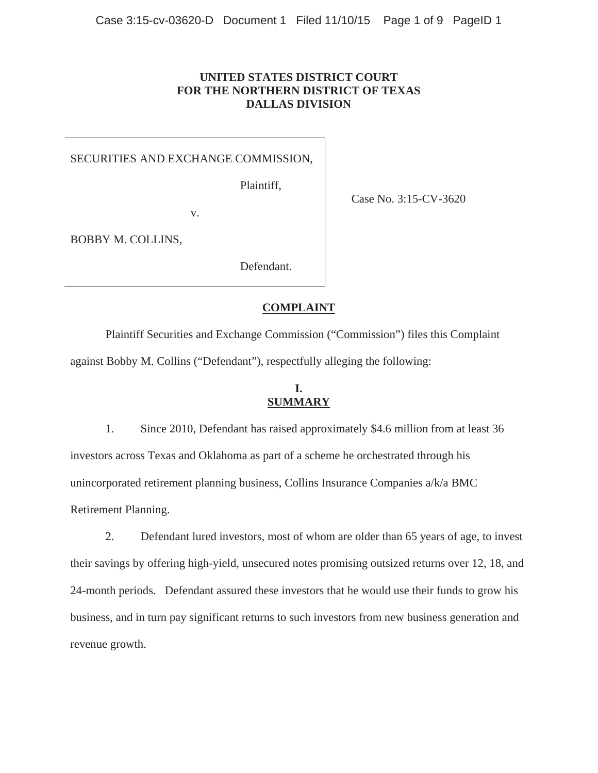## **UNITED STATES DISTRICT COURT FOR THE NORTHERN DISTRICT OF TEXAS DALLAS DIVISION**

### SECURITIES AND EXCHANGE COMMISSION,

Plaintiff,

Case No. 3:15-CV-3620

v.

BOBBY M. COLLINS,

Defendant.

### **COMPLAINT**

 Plaintiff Securities and Exchange Commission ("Commission") files this Complaint against Bobby M. Collins ("Defendant"), respectfully alleging the following:

# **I. SUMMARY**

1. Since 2010, Defendant has raised approximately \$4.6 million from at least 36 investors across Texas and Oklahoma as part of a scheme he orchestrated through his unincorporated retirement planning business, Collins Insurance Companies a/k/a BMC Retirement Planning.

2. Defendant lured investors, most of whom are older than 65 years of age, to invest their savings by offering high-yield, unsecured notes promising outsized returns over 12, 18, and 24-month periods. Defendant assured these investors that he would use their funds to grow his business, and in turn pay significant returns to such investors from new business generation and revenue growth.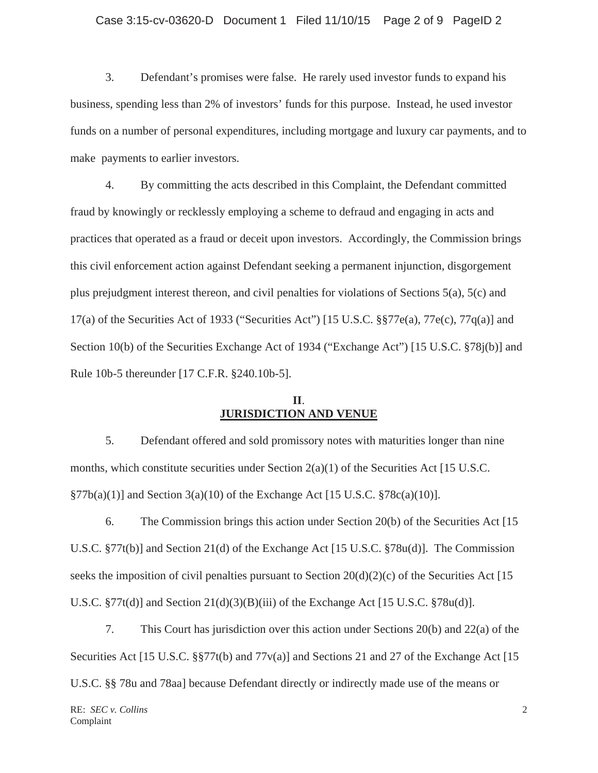#### Case 3:15-cv-03620-D Document 1 Filed 11/10/15 Page 2 of 9 PageID 2

3. Defendant's promises were false. He rarely used investor funds to expand his business, spending less than 2% of investors' funds for this purpose. Instead, he used investor funds on a number of personal expenditures, including mortgage and luxury car payments, and to make payments to earlier investors.

4. By committing the acts described in this Complaint, the Defendant committed fraud by knowingly or recklessly employing a scheme to defraud and engaging in acts and practices that operated as a fraud or deceit upon investors. Accordingly, the Commission brings this civil enforcement action against Defendant seeking a permanent injunction, disgorgement plus prejudgment interest thereon, and civil penalties for violations of Sections 5(a), 5(c) and 17(a) of the Securities Act of 1933 ("Securities Act") [15 U.S.C. §§77e(a), 77e(c), 77q(a)] and Section 10(b) of the Securities Exchange Act of 1934 ("Exchange Act") [15 U.S.C. §78j(b)] and Rule 10b-5 thereunder [17 C.F.R. §240.10b-5].

## **II**. **JURISDICTION AND VENUE**

5. Defendant offered and sold promissory notes with maturities longer than nine months, which constitute securities under Section 2(a)(1) of the Securities Act [15 U.S.C.  $\S77b(a)(1)$ ] and Section 3(a)(10) of the Exchange Act [15 U.S.C.  $\S78c(a)(10)$ ].

6. The Commission brings this action under Section 20(b) of the Securities Act [15 U.S.C. §77t(b)] and Section 21(d) of the Exchange Act [15 U.S.C. §78u(d)]. The Commission seeks the imposition of civil penalties pursuant to Section 20(d)(2)(c) of the Securities Act [15] U.S.C.  $\S 77t(d)$ ] and Section 21(d)(3)(B)(iii) of the Exchange Act [15 U.S.C.  $\S 78u(d)$ ].

7. This Court has jurisdiction over this action under Sections 20(b) and 22(a) of the Securities Act [15 U.S.C. §§77t(b) and 77y(a)] and Sections 21 and 27 of the Exchange Act [15] U.S.C. §§ 78u and 78aa] because Defendant directly or indirectly made use of the means or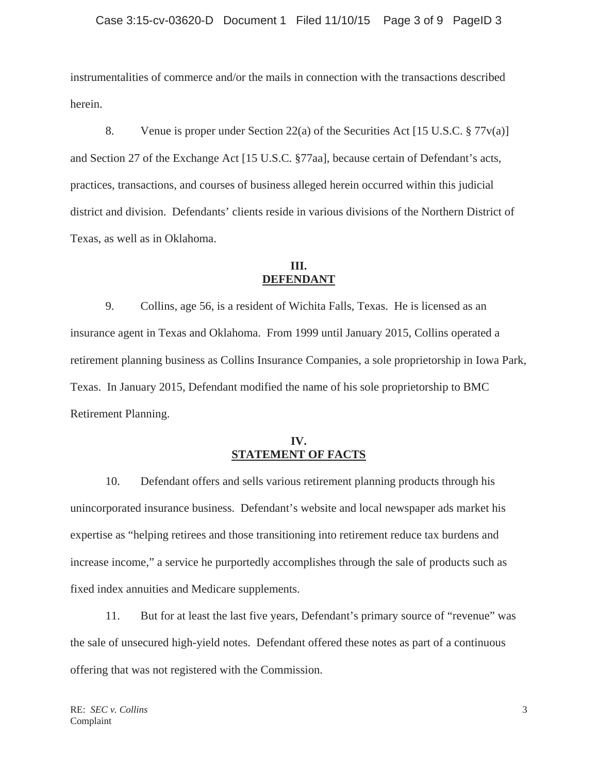instrumentalities of commerce and/or the mails in connection with the transactions described herein.

8. Venue is proper under Section 22(a) of the Securities Act [15 U.S.C. § 77v(a)] and Section 27 of the Exchange Act [15 U.S.C. §77aa], because certain of Defendant's acts, practices, transactions, and courses of business alleged herein occurred within this judicial district and division. Defendants' clients reside in various divisions of the Northern District of Texas, as well as in Oklahoma.

## **III. DEFENDANT**

9. Collins, age 56, is a resident of Wichita Falls, Texas. He is licensed as an insurance agent in Texas and Oklahoma. From 1999 until January 2015, Collins operated a retirement planning business as Collins Insurance Companies, a sole proprietorship in Iowa Park, Texas. In January 2015, Defendant modified the name of his sole proprietorship to BMC Retirement Planning.

# **IV. STATEMENT OF FACTS**

10. Defendant offers and sells various retirement planning products through his unincorporated insurance business. Defendant's website and local newspaper ads market his expertise as "helping retirees and those transitioning into retirement reduce tax burdens and increase income," a service he purportedly accomplishes through the sale of products such as fixed index annuities and Medicare supplements.

11. But for at least the last five years, Defendant's primary source of "revenue" was the sale of unsecured high-yield notes. Defendant offered these notes as part of a continuous offering that was not registered with the Commission.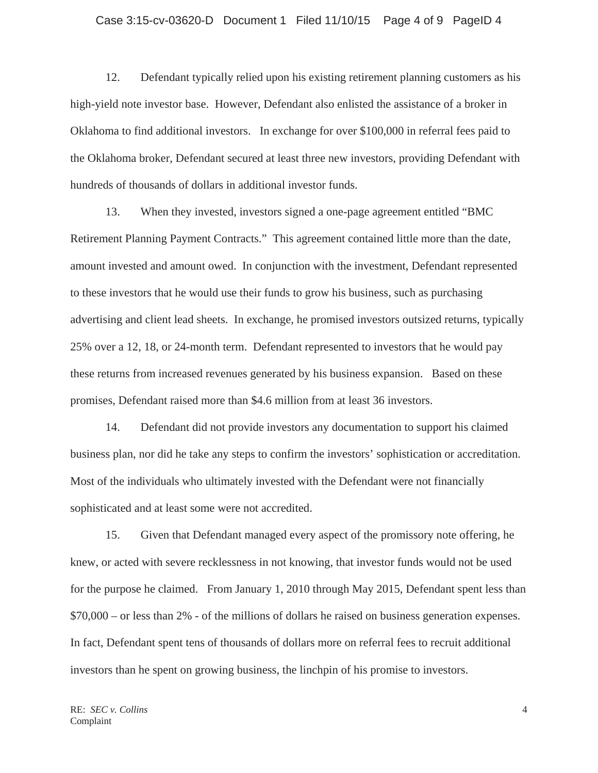#### Case 3:15-cv-03620-D Document 1 Filed 11/10/15 Page 4 of 9 PageID 4

12. Defendant typically relied upon his existing retirement planning customers as his high-yield note investor base. However, Defendant also enlisted the assistance of a broker in Oklahoma to find additional investors. In exchange for over \$100,000 in referral fees paid to the Oklahoma broker, Defendant secured at least three new investors, providing Defendant with hundreds of thousands of dollars in additional investor funds.

13. When they invested, investors signed a one-page agreement entitled "BMC Retirement Planning Payment Contracts." This agreement contained little more than the date, amount invested and amount owed. In conjunction with the investment, Defendant represented to these investors that he would use their funds to grow his business, such as purchasing advertising and client lead sheets. In exchange, he promised investors outsized returns, typically 25% over a 12, 18, or 24-month term. Defendant represented to investors that he would pay these returns from increased revenues generated by his business expansion. Based on these promises, Defendant raised more than \$4.6 million from at least 36 investors.

14. Defendant did not provide investors any documentation to support his claimed business plan, nor did he take any steps to confirm the investors' sophistication or accreditation. Most of the individuals who ultimately invested with the Defendant were not financially sophisticated and at least some were not accredited.

15. Given that Defendant managed every aspect of the promissory note offering, he knew, or acted with severe recklessness in not knowing, that investor funds would not be used for the purpose he claimed. From January 1, 2010 through May 2015, Defendant spent less than \$70,000 – or less than 2% - of the millions of dollars he raised on business generation expenses. In fact, Defendant spent tens of thousands of dollars more on referral fees to recruit additional investors than he spent on growing business, the linchpin of his promise to investors.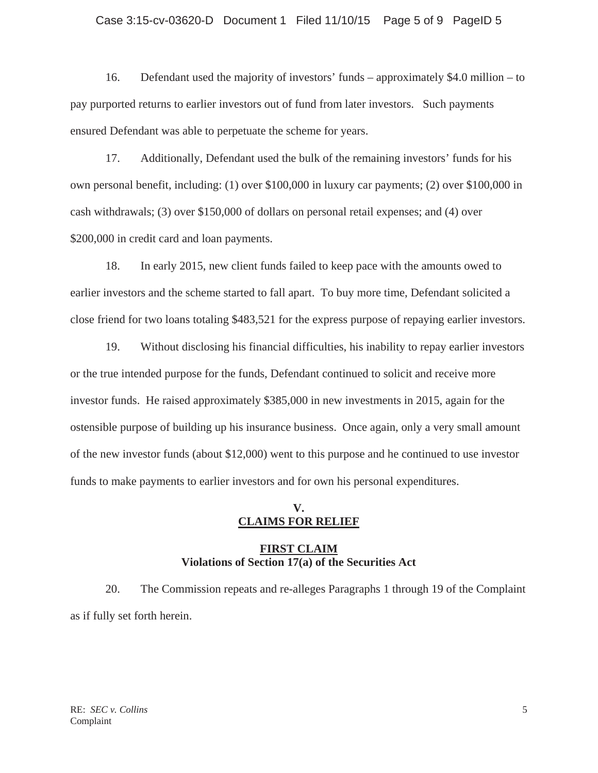#### Case 3:15-cv-03620-D Document 1 Filed 11/10/15 Page 5 of 9 PageID 5

16. Defendant used the majority of investors' funds – approximately \$4.0 million – to pay purported returns to earlier investors out of fund from later investors. Such payments ensured Defendant was able to perpetuate the scheme for years.

17. Additionally, Defendant used the bulk of the remaining investors' funds for his own personal benefit, including: (1) over \$100,000 in luxury car payments; (2) over \$100,000 in cash withdrawals; (3) over \$150,000 of dollars on personal retail expenses; and (4) over \$200,000 in credit card and loan payments.

18. In early 2015, new client funds failed to keep pace with the amounts owed to earlier investors and the scheme started to fall apart. To buy more time, Defendant solicited a close friend for two loans totaling \$483,521 for the express purpose of repaying earlier investors.

19. Without disclosing his financial difficulties, his inability to repay earlier investors or the true intended purpose for the funds, Defendant continued to solicit and receive more investor funds. He raised approximately \$385,000 in new investments in 2015, again for the ostensible purpose of building up his insurance business. Once again, only a very small amount of the new investor funds (about \$12,000) went to this purpose and he continued to use investor funds to make payments to earlier investors and for own his personal expenditures.

### **V. CLAIMS FOR RELIEF**

## **FIRST CLAIM Violations of Section 17(a) of the Securities Act**

20. The Commission repeats and re-alleges Paragraphs 1 through 19 of the Complaint as if fully set forth herein.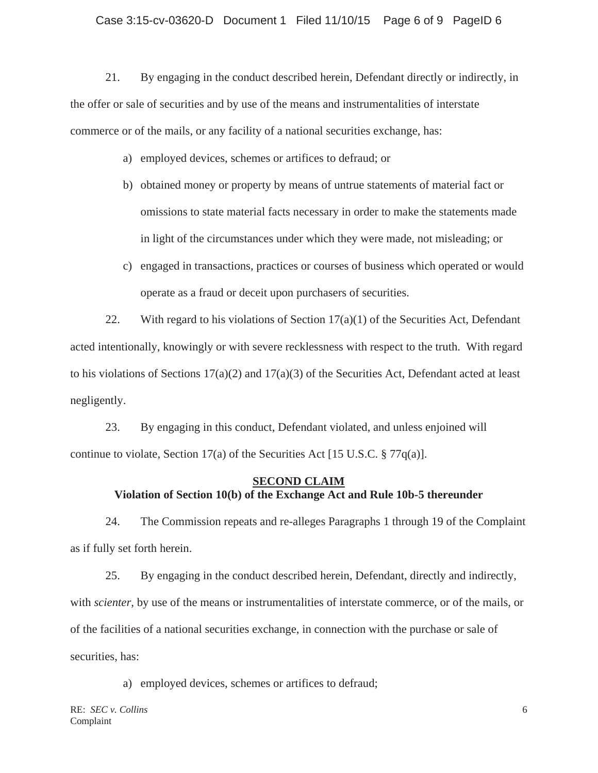21. By engaging in the conduct described herein, Defendant directly or indirectly, in the offer or sale of securities and by use of the means and instrumentalities of interstate commerce or of the mails, or any facility of a national securities exchange, has:

- a) employed devices, schemes or artifices to defraud; or
- b) obtained money or property by means of untrue statements of material fact or omissions to state material facts necessary in order to make the statements made in light of the circumstances under which they were made, not misleading; or
- c) engaged in transactions, practices or courses of business which operated or would operate as a fraud or deceit upon purchasers of securities.

22. With regard to his violations of Section  $17(a)(1)$  of the Securities Act, Defendant acted intentionally, knowingly or with severe recklessness with respect to the truth. With regard to his violations of Sections  $17(a)(2)$  and  $17(a)(3)$  of the Securities Act, Defendant acted at least negligently.

23. By engaging in this conduct, Defendant violated, and unless enjoined will continue to violate, Section 17(a) of the Securities Act [15 U.S.C. § 77q(a)].

# **SECOND CLAIM Violation of Section 10(b) of the Exchange Act and Rule 10b-5 thereunder**

24. The Commission repeats and re-alleges Paragraphs 1 through 19 of the Complaint as if fully set forth herein.

25. By engaging in the conduct described herein, Defendant, directly and indirectly, with *scienter*, by use of the means or instrumentalities of interstate commerce, or of the mails, or of the facilities of a national securities exchange, in connection with the purchase or sale of securities, has:

a) employed devices, schemes or artifices to defraud;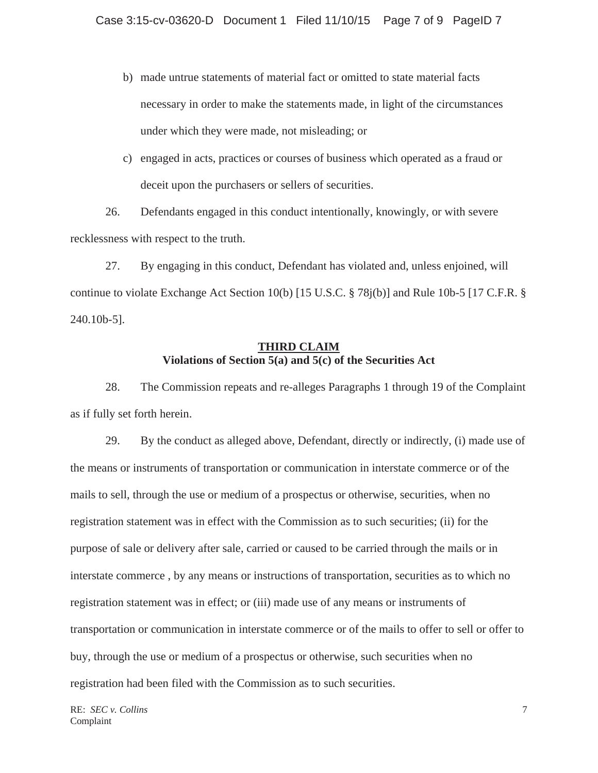- b) made untrue statements of material fact or omitted to state material facts necessary in order to make the statements made, in light of the circumstances under which they were made, not misleading; or
- c) engaged in acts, practices or courses of business which operated as a fraud or deceit upon the purchasers or sellers of securities.

26. Defendants engaged in this conduct intentionally, knowingly, or with severe recklessness with respect to the truth.

27. By engaging in this conduct, Defendant has violated and, unless enjoined, will continue to violate Exchange Act Section 10(b) [15 U.S.C. § 78j(b)] and Rule 10b-5 [17 C.F.R. § 240.10b-5].

# **THIRD CLAIM Violations of Section 5(a) and 5(c) of the Securities Act**

28. The Commission repeats and re-alleges Paragraphs 1 through 19 of the Complaint as if fully set forth herein.

29. By the conduct as alleged above, Defendant, directly or indirectly, (i) made use of the means or instruments of transportation or communication in interstate commerce or of the mails to sell, through the use or medium of a prospectus or otherwise, securities, when no registration statement was in effect with the Commission as to such securities; (ii) for the purpose of sale or delivery after sale, carried or caused to be carried through the mails or in interstate commerce , by any means or instructions of transportation, securities as to which no registration statement was in effect; or (iii) made use of any means or instruments of transportation or communication in interstate commerce or of the mails to offer to sell or offer to buy, through the use or medium of a prospectus or otherwise, such securities when no registration had been filed with the Commission as to such securities.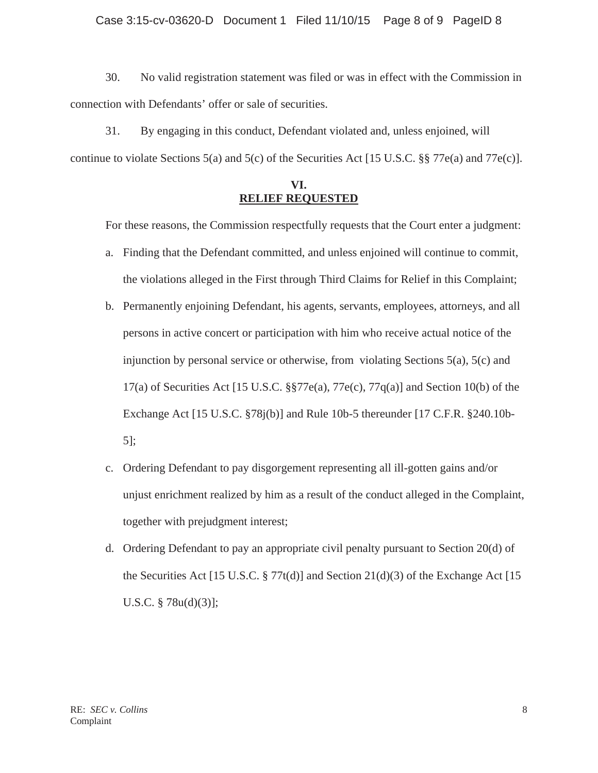### Case 3:15-cv-03620-D Document 1 Filed 11/10/15 Page 8 of 9 PageID 8

30. No valid registration statement was filed or was in effect with the Commission in connection with Defendants' offer or sale of securities.

31. By engaging in this conduct, Defendant violated and, unless enjoined, will continue to violate Sections 5(a) and 5(c) of the Securities Act [15 U.S.C. §§ 77e(a) and 77e(c)].

## **VI. RELIEF REQUESTED**

For these reasons, the Commission respectfully requests that the Court enter a judgment:

- a. Finding that the Defendant committed, and unless enjoined will continue to commit, the violations alleged in the First through Third Claims for Relief in this Complaint;
- b. Permanently enjoining Defendant, his agents, servants, employees, attorneys, and all persons in active concert or participation with him who receive actual notice of the injunction by personal service or otherwise, from violating Sections 5(a), 5(c) and 17(a) of Securities Act [15 U.S.C.  $\S$  $77e$ (a),  $77e$ (c),  $77q$ (a)] and Section 10(b) of the Exchange Act [15 U.S.C. §78j(b)] and Rule 10b-5 thereunder [17 C.F.R. §240.10b-5];
- c. Ordering Defendant to pay disgorgement representing all ill-gotten gains and/or unjust enrichment realized by him as a result of the conduct alleged in the Complaint, together with prejudgment interest;
- d. Ordering Defendant to pay an appropriate civil penalty pursuant to Section 20(d) of the Securities Act [15 U.S.C.  $\S 77t(d)$ ] and Section 21(d)(3) of the Exchange Act [15 U.S.C. § 78u(d)(3)];